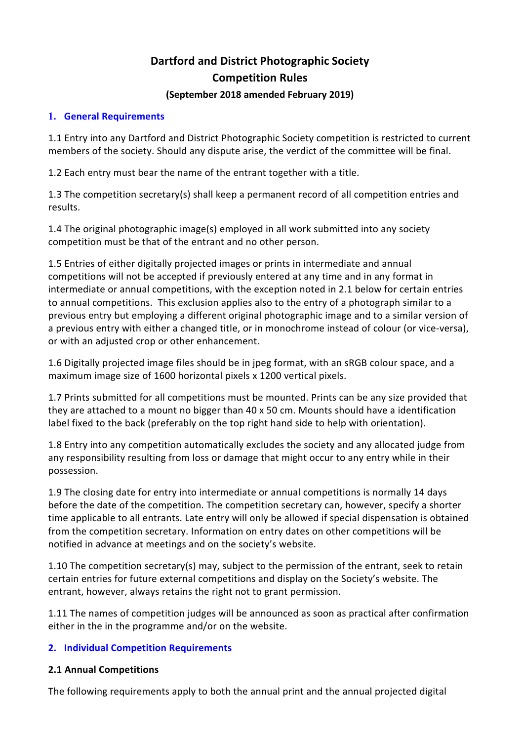# **Dartford and District Photographic Society Competition Rules**

#### **(September 2018 amended February 2019)**

## **1. General Requirements**

1.1 Entry into any Dartford and District Photographic Society competition is restricted to current members of the society. Should any dispute arise, the verdict of the committee will be final.

1.2 Each entry must bear the name of the entrant together with a title.

1.3 The competition secretary(s) shall keep a permanent record of all competition entries and results.

1.4 The original photographic image(s) employed in all work submitted into any society competition must be that of the entrant and no other person.

1.5 Entries of either digitally projected images or prints in intermediate and annual competitions will not be accepted if previously entered at any time and in any format in intermediate or annual competitions, with the exception noted in 2.1 below for certain entries to annual competitions. This exclusion applies also to the entry of a photograph similar to a previous entry but employing a different original photographic image and to a similar version of a previous entry with either a changed title, or in monochrome instead of colour (or vice-versa), or with an adjusted crop or other enhancement.

1.6 Digitally projected image files should be in jpeg format, with an sRGB colour space, and a maximum image size of 1600 horizontal pixels x 1200 vertical pixels.

1.7 Prints submitted for all competitions must be mounted. Prints can be any size provided that they are attached to a mount no bigger than 40 x 50 cm. Mounts should have a identification label fixed to the back (preferably on the top right hand side to help with orientation).

1.8 Entry into any competition automatically excludes the society and any allocated judge from any responsibility resulting from loss or damage that might occur to any entry while in their possession.

1.9 The closing date for entry into intermediate or annual competitions is normally 14 days before the date of the competition. The competition secretary can, however, specify a shorter time applicable to all entrants. Late entry will only be allowed if special dispensation is obtained from the competition secretary. Information on entry dates on other competitions will be notified in advance at meetings and on the society's website.

1.10 The competition secretary(s) may, subject to the permission of the entrant, seek to retain certain entries for future external competitions and display on the Society's website. The entrant, however, always retains the right not to grant permission.

1.11 The names of competition judges will be announced as soon as practical after confirmation either in the in the programme and/or on the website.

## **2. Individual Competition Requirements**

## **2.1 Annual Competitions**

The following requirements apply to both the annual print and the annual projected digital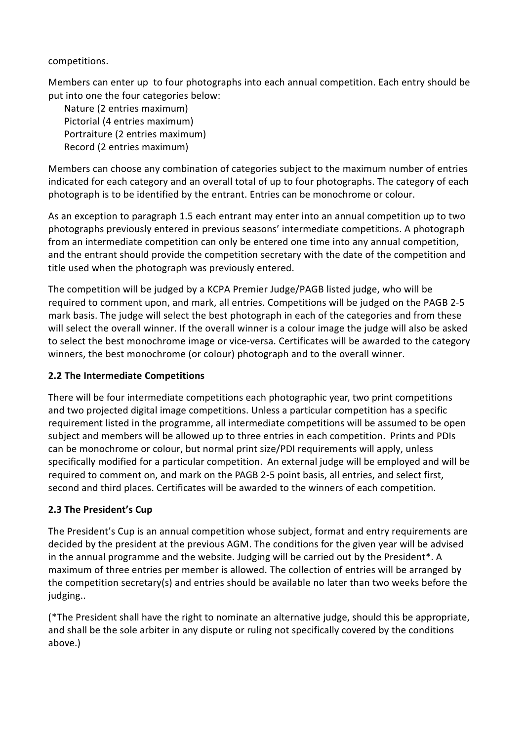## competitions.

Members can enter up to four photographs into each annual competition. Each entry should be put into one the four categories below:

Nature (2 entries maximum) Pictorial (4 entries maximum) Portraiture (2 entries maximum) Record (2 entries maximum)

Members can choose any combination of categories subject to the maximum number of entries indicated for each category and an overall total of up to four photographs. The category of each photograph is to be identified by the entrant. Entries can be monochrome or colour.

As an exception to paragraph 1.5 each entrant may enter into an annual competition up to two photographs previously entered in previous seasons' intermediate competitions. A photograph from an intermediate competition can only be entered one time into any annual competition, and the entrant should provide the competition secretary with the date of the competition and title used when the photograph was previously entered.

The competition will be judged by a KCPA Premier Judge/PAGB listed judge, who will be required to comment upon, and mark, all entries. Competitions will be judged on the PAGB 2-5 mark basis. The judge will select the best photograph in each of the categories and from these will select the overall winner. If the overall winner is a colour image the judge will also be asked to select the best monochrome image or vice-versa. Certificates will be awarded to the category winners, the best monochrome (or colour) photograph and to the overall winner.

# **2.2 The Intermediate Competitions**

There will be four intermediate competitions each photographic year, two print competitions and two projected digital image competitions. Unless a particular competition has a specific requirement listed in the programme, all intermediate competitions will be assumed to be open subject and members will be allowed up to three entries in each competition. Prints and PDIs can be monochrome or colour, but normal print size/PDI requirements will apply, unless specifically modified for a particular competition. An external judge will be employed and will be required to comment on, and mark on the PAGB 2-5 point basis, all entries, and select first, second and third places. Certificates will be awarded to the winners of each competition.

# **2.3 The President's Cup**

The President's Cup is an annual competition whose subject, format and entry requirements are decided by the president at the previous AGM. The conditions for the given year will be advised in the annual programme and the website. Judging will be carried out by the President\*. A maximum of three entries per member is allowed. The collection of entries will be arranged by the competition secretary(s) and entries should be available no later than two weeks before the judging..

(\*The President shall have the right to nominate an alternative judge, should this be appropriate, and shall be the sole arbiter in any dispute or ruling not specifically covered by the conditions above.)